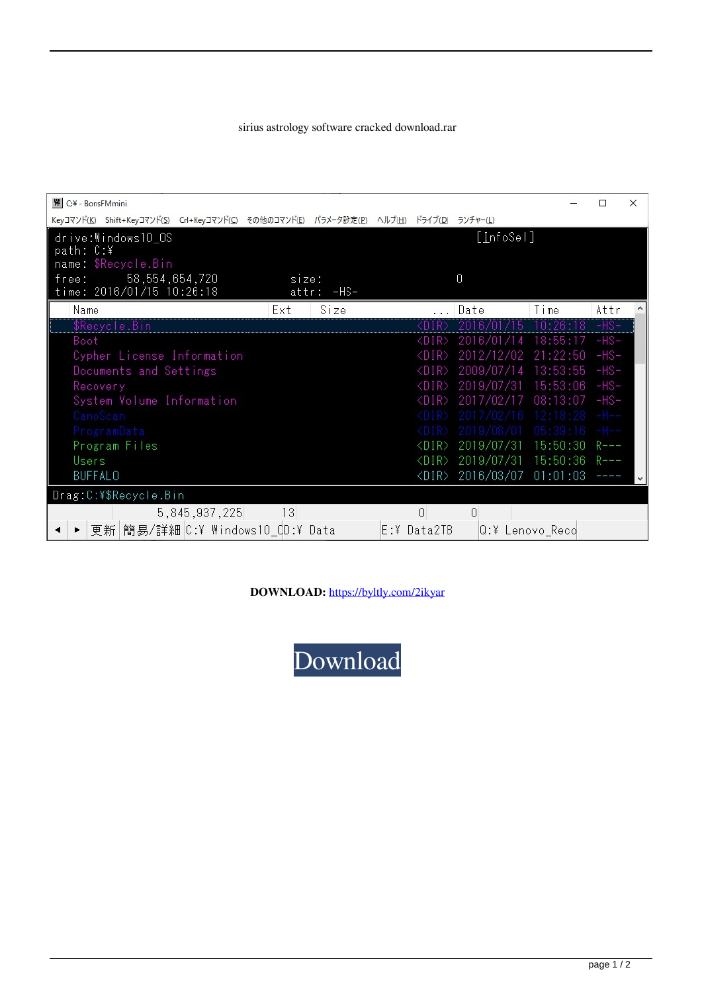## sirius astrology software cracked download.rar

| 图 C:¥ - BonsFMmini                                                                        |                     |      |                         |                     |                 | п         | $\times$ |
|-------------------------------------------------------------------------------------------|---------------------|------|-------------------------|---------------------|-----------------|-----------|----------|
| Keyコマンド(K) Shift+Keyコマンド(S) Crl+Keyコマンド(C) その他のコマンド(E) パラメータ設定(P) ヘルプ(H) ドライブ(D) ランチャー(L) |                     |      |                         |                     |                 |           |          |
| drive:Windows10_OS                                                                        |                     |      |                         | [ <u>I</u> nfoSel]  |                 |           |          |
| path: C:¥                                                                                 |                     |      |                         |                     |                 |           |          |
| name: \$Recycle.Bin                                                                       |                     |      |                         | $\overline{0}$      |                 |           |          |
| 58, 554, 654, 720<br>free:<br>time: 2016/01/15 10:26:18                                   | size:<br>attr: -HS- |      |                         |                     |                 |           |          |
| Name                                                                                      | Ext                 | Size |                         | Date                | Time            | Attr      |          |
|                                                                                           |                     |      |                         |                     |                 |           |          |
| \$Recycle.Bin                                                                             |                     |      | <dir></dir>             | h<br>b              | 10:26:18        | $-HS-$    |          |
| Boot                                                                                      |                     |      | <dir></dir>             | 2016/01/14          | 18:55:17        | -HS-      |          |
| Cypher License Information                                                                |                     |      | <dir></dir>             | 2012/12/02          | 21:22:50        | $-HS-$    |          |
| Documents and Settings                                                                    |                     |      | $\langle$ DIR $\rangle$ | 2009/07/14          | 13:53:55        | -HS-      |          |
| Recovery                                                                                  |                     |      | <dir></dir>             | 2019/07/31          | 15:53:06        | -HS-      |          |
| System Volume Information                                                                 |                     |      | <dir></dir>             | 2017/02/17          | 08:13:07        | -HS-      |          |
| CanoScan                                                                                  |                     |      |                         |                     |                 |           |          |
| ProgramData                                                                               |                     |      |                         |                     |                 |           |          |
| Program Files                                                                             |                     |      | $\langle DIR \rangle$   | 2019/07/31          | 15:50:30        | $R$ – – – |          |
| Users                                                                                     |                     |      | $\langle DIR \rangle$   | 2019/07/31 15:50:36 |                 | $R---$    |          |
| <b>BUFFALO</b>                                                                            |                     |      | $\langle DIR \rangle$   | 2016/03/07 01:01:03 |                 |           | v        |
| Drag:C:¥\$Recycle.Bin                                                                     |                     |      |                         |                     |                 |           |          |
| 5,845,937,225                                                                             | 13                  |      | $\theta$                | n                   |                 |           |          |
| 更新 簡易/詳細 C:¥ Windows10_CD:¥ Data                                                          |                     |      | E:¥ Data2TB             |                     | Q:¥ Lenovo Reco |           |          |

DOWNLOAD: https://byltly.com/2ikyar

Download